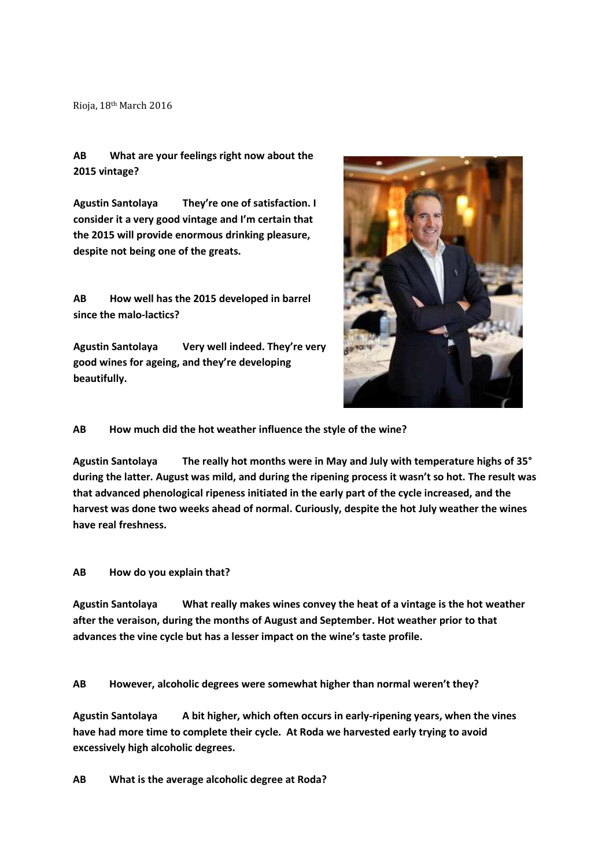Rioja, 18th March 2016

## **AB What are your feelings right now about the 2015 vintage?**

**Agustin Santolaya They're one of satisfaction. I consider it a very good vintage and I'm certain that the 2015 will provide enormous drinking pleasure, despite not being one of the greats.** 

**AB How well has the 2015 developed in barrel since the malo-lactics?** 

**Agustin Santolaya Very well indeed. They're very good wines for ageing, and they're developing beautifully.** 



## **AB How much did the hot weather influence the style of the wine?**

**Agustin Santolaya The really hot months were in May and July with temperature highs of 35° during the latter. August was mild, and during the ripening process it wasn't so hot. The result was that advanced phenological ripeness initiated in the early part of the cycle increased, and the harvest was done two weeks ahead of normal. Curiously, despite the hot July weather the wines have real freshness.** 

## **AB How do you explain that?**

**Agustin Santolaya What really makes wines convey the heat of a vintage is the hot weather after the veraison, during the months of August and September. Hot weather prior to that advances the vine cycle but has a lesser impact on the wine's taste profile.** 

**AB However, alcoholic degrees were somewhat higher than normal weren't they?** 

**Agustin Santolaya A bit higher, which often occurs in early-ripening years, when the vines have had more time to complete their cycle. At Roda we harvested early trying to avoid excessively high alcoholic degrees.** 

**AB What is the average alcoholic degree at Roda?**